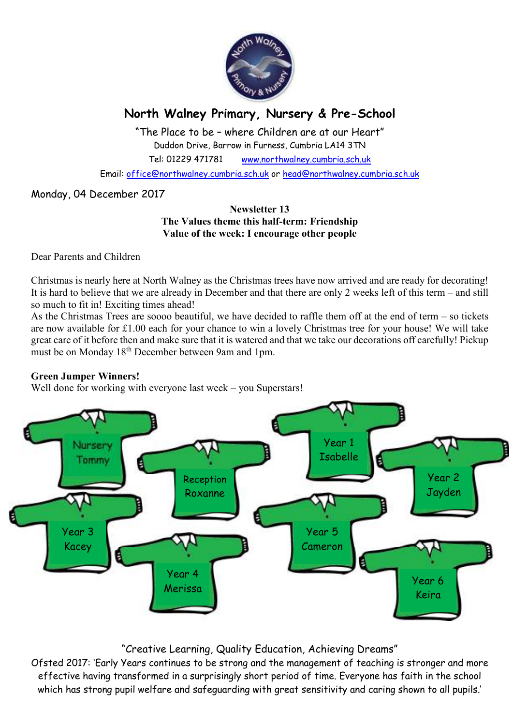

# **North Walney Primary, Nursery & Pre-School**

"The Place to be – where Children are at our Heart" Duddon Drive, Barrow in Furness, Cumbria LA14 3TN Tel: 01229 471781 www.northwalney.cumbria.sch.uk

Email: office@northwalney.cumbria.sch.uk or head@northwalney.cumbria.sch.uk

# Monday, 04 December 2017

### **Newsletter 13 The Values theme this half-term: Friendship Value of the week: I encourage other people**

Dear Parents and Children

Christmas is nearly here at North Walney as the Christmas trees have now arrived and are ready for decorating! It is hard to believe that we are already in December and that there are only 2 weeks left of this term – and still so much to fit in! Exciting times ahead!

As the Christmas Trees are soooo beautiful, we have decided to raffle them off at the end of term – so tickets are now available for £1.00 each for your chance to win a lovely Christmas tree for your house! We will take great care of it before then and make sure that it is watered and that we take our decorations off carefully! Pickup must be on Monday 18th December between 9am and 1pm.

# **Green Jumper Winners!**

Well done for working with everyone last week – you Superstars!



# "Creative Learning, Quality Education, Achieving Dreams"

Ofsted 2017: 'Early Years continues to be strong and the management of teaching is stronger and more effective having transformed in a surprisingly short period of time. Everyone has faith in the school which has strong pupil welfare and safeguarding with great sensitivity and caring shown to all pupils.'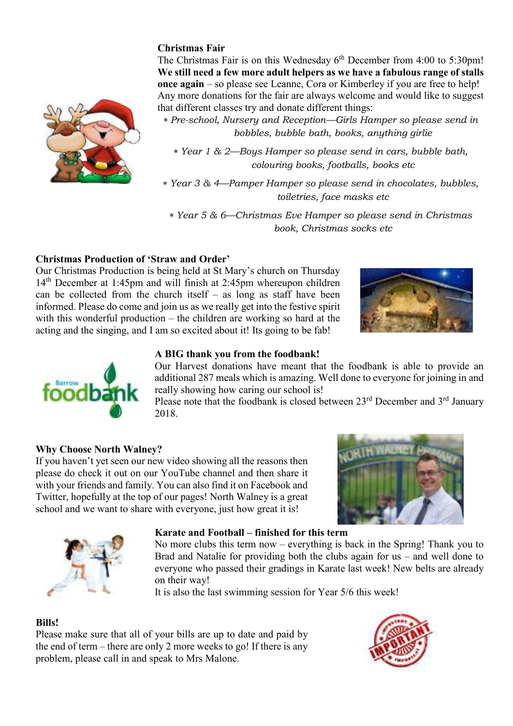# **Christmas Fair**

The Christmas Fair is on this Wednesday  $6<sup>th</sup>$  December from 4:00 to 5:30pm! **We still need a few more adult helpers as we have a fabulous range of stalls once again** – so please see Leanne, Cora or Kimberley if you are free to help! Any more donations for the fair are always welcome and would like to suggest that different classes try and donate different things:

∗ *Pre-school, Nursery and Reception—Girls Hamper so please send in bobbles, bubble bath, books, anything girlie* 

- ∗ *Year 1 & 2—Boys Hamper so please send in cars, bubble bath, colouring books, footballs, books etc*
- ∗ *Year 3 & 4—Pamper Hamper so please send in chocolates, bubbles, toiletries, face masks etc*

∗ *Year 5 & 6—Christmas Eve Hamper so please send in Christmas book, Christmas socks etc*

# **Christmas Production of 'Straw and Order'**

Our Christmas Production is being held at St Mary's church on Thursday 14th December at 1:45pm and will finish at 2:45pm whereupon children can be collected from the church itself – as long as staff have been informed. Please do come and join us as we really get into the festive spirit with this wonderful production – the children are working so hard at the acting and the singing, and I am so excited about it! Its going to be fab!

# **A BIG thank you from the foodbank!**

Our Harvest donations have meant that the foodbank is able to provide an additional 287 meals which is amazing. Well done to everyone for joining in and really showing how caring our school is!

Please note that the foodbank is closed between  $23<sup>rd</sup>$  December and  $3<sup>rd</sup>$  January 2018.

# **Why Choose North Walney?**

If you haven't yet seen our new video showing all the reasons then please do check it out on our YouTube channel and then share it with your friends and family. You can also find it on Facebook and Twitter, hopefully at the top of our pages! North Walney is a great school and we want to share with everyone, just how great it is!



No more clubs this term now – everything is back in the Spring! Thank you to Brad and Natalie for providing both the clubs again for us – and well done to everyone who passed their gradings in Karate last week! New belts are already on their way!

It is also the last swimming session for Year 5/6 this week!

#### **Bills!**

Please make sure that all of your bills are up to date and paid by the end of term – there are only 2 more weeks to go! If there is any problem, please call in and speak to Mrs Malone.









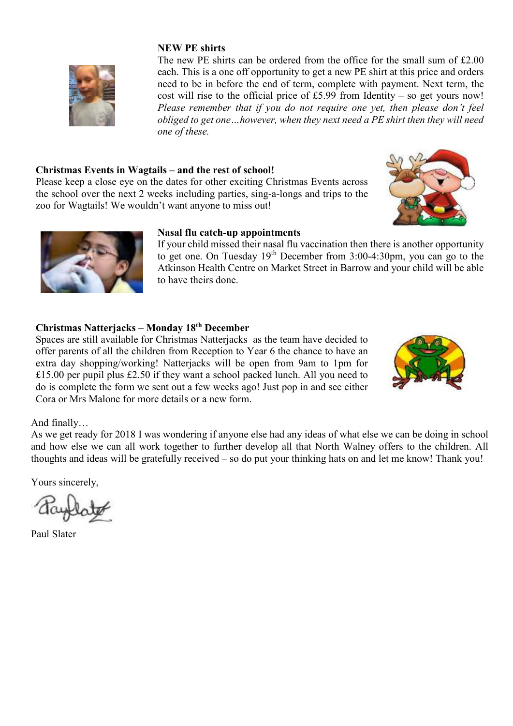#### **NEW PE shirts**

The new PE shirts can be ordered from the office for the small sum of  $£2.00$ each. This is a one off opportunity to get a new PE shirt at this price and orders need to be in before the end of term, complete with payment. Next term, the cost will rise to the official price of £5.99 from Identity – so get yours now! *Please remember that if you do not require one yet, then please don't feel obliged to get one…however, when they next need a PE shirt then they will need one of these.* 

## **Christmas Events in Wagtails – and the rest of school!**

Please keep a close eye on the dates for other exciting Christmas Events across the school over the next 2 weeks including parties, sing-a-longs and trips to the zoo for Wagtails! We wouldn't want anyone to miss out!





#### **Nasal flu catch-up appointments**

If your child missed their nasal flu vaccination then there is another opportunity to get one. On Tuesday 19th December from 3:00-4:30pm, you can go to the Atkinson Health Centre on Market Street in Barrow and your child will be able to have theirs done.

# **Christmas Natterjacks – Monday 18th December**

Spaces are still available for Christmas Natterjacks as the team have decided to offer parents of all the children from Reception to Year 6 the chance to have an extra day shopping/working! Natterjacks will be open from 9am to 1pm for £15.00 per pupil plus £2.50 if they want a school packed lunch. All you need to do is complete the form we sent out a few weeks ago! Just pop in and see either Cora or Mrs Malone for more details or a new form.



#### And finally…

As we get ready for 2018 I was wondering if anyone else had any ideas of what else we can be doing in school and how else we can all work together to further develop all that North Walney offers to the children. All thoughts and ideas will be gratefully received – so do put your thinking hats on and let me know! Thank you!

Yours sincerely,

Paul Slater